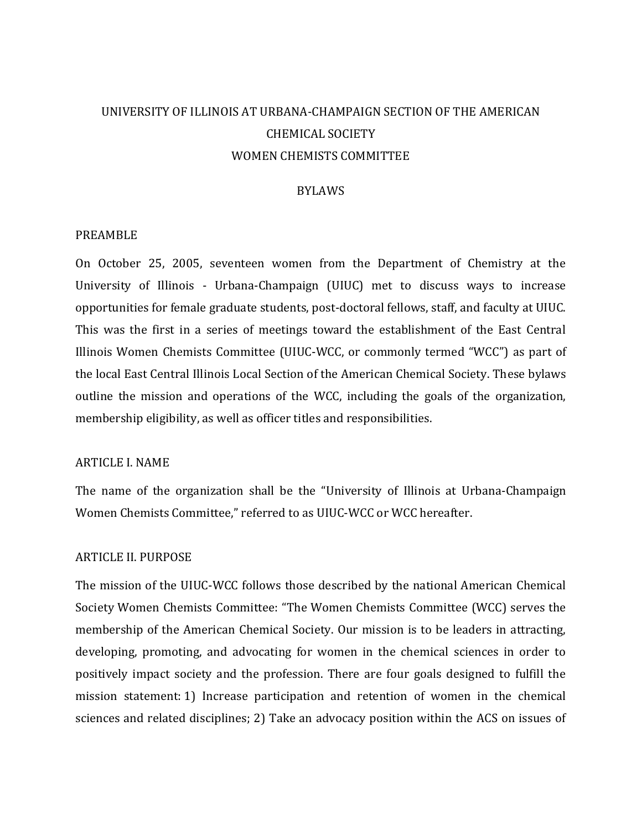# UNIVERSITY OF ILLINOIS AT URBANA-CHAMPAIGN SECTION OF THE AMERICAN CHEMICAL SOCIETY WOMEN CHEMISTS COMMITTEE

#### BYLAWS

#### PREAMBLE

On October 25, 2005, seventeen women from the Department of Chemistry at the University of Illinois - Urbana-Champaign (UIUC) met to discuss ways to increase opportunities for female graduate students, post-doctoral fellows, staff, and faculty at UIUC. This was the first in a series of meetings toward the establishment of the East Central Illinois Women Chemists Committee (UIUC-WCC, or commonly termed "WCC") as part of the local East Central Illinois Local Section of the American Chemical Society. These bylaws outline the mission and operations of the WCC, including the goals of the organization, membership eligibility, as well as officer titles and responsibilities.

#### ARTICLE I. NAME

The name of the organization shall be the "University of Illinois at Urbana-Champaign Women Chemists Committee," referred to as UIUC-WCC or WCC hereafter.

#### ARTICLE II. PURPOSE

The mission of the UIUC-WCC follows those described by the national American Chemical Society Women Chemists Committee: "The Women Chemists Committee (WCC) serves the membership of the American Chemical Society. Our mission is to be leaders in attracting, developing, promoting, and advocating for women in the chemical sciences in order to positively impact society and the profession. There are four goals designed to fulfill the mission statement: 1) Increase participation and retention of women in the chemical sciences and related disciplines; 2) Take an advocacy position within the ACS on issues of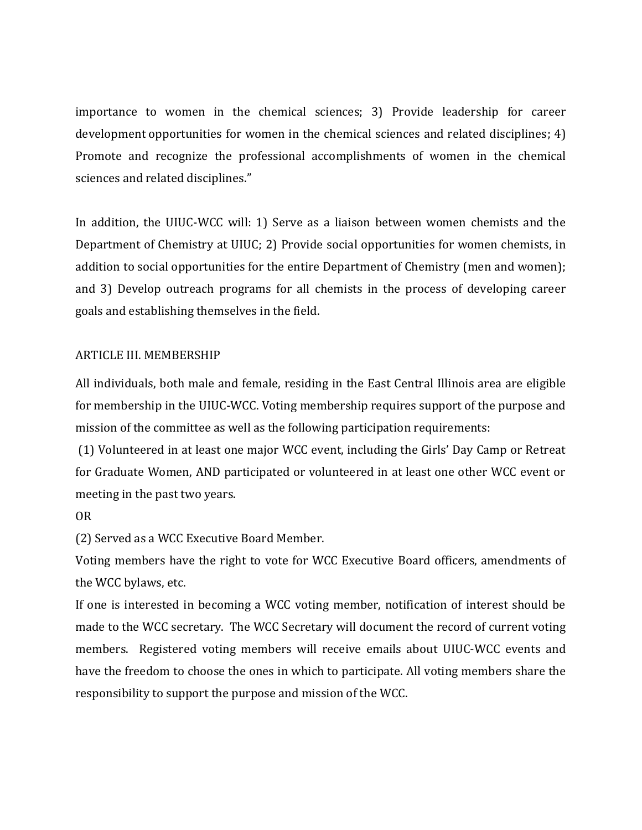importance to women in the chemical sciences; 3) Provide leadership for career development opportunities for women in the chemical sciences and related disciplines; 4) Promote and recognize the professional accomplishments of women in the chemical sciences and related disciplines."

In addition, the UIUC-WCC will: 1) Serve as a liaison between women chemists and the Department of Chemistry at UIUC; 2) Provide social opportunities for women chemists, in addition to social opportunities for the entire Department of Chemistry (men and women); and 3) Develop outreach programs for all chemists in the process of developing career goals and establishing themselves in the field.

## ARTICLE III. MEMBERSHIP

All individuals, both male and female, residing in the East Central Illinois area are eligible for membership in the UIUC-WCC. Voting membership requires support of the purpose and mission of the committee as well as the following participation requirements:

(1) Volunteered in at least one major WCC event, including the Girls' Day Camp or Retreat for Graduate Women, AND participated or volunteered in at least one other WCC event or meeting in the past two years.

OR

(2) Served as a WCC Executive Board Member.

Voting members have the right to vote for WCC Executive Board officers, amendments of the WCC bylaws, etc.

If one is interested in becoming a WCC voting member, notification of interest should be made to the WCC secretary. The WCC Secretary will document the record of current voting members. Registered voting members will receive emails about UIUC-WCC events and have the freedom to choose the ones in which to participate. All voting members share the responsibility to support the purpose and mission of the WCC.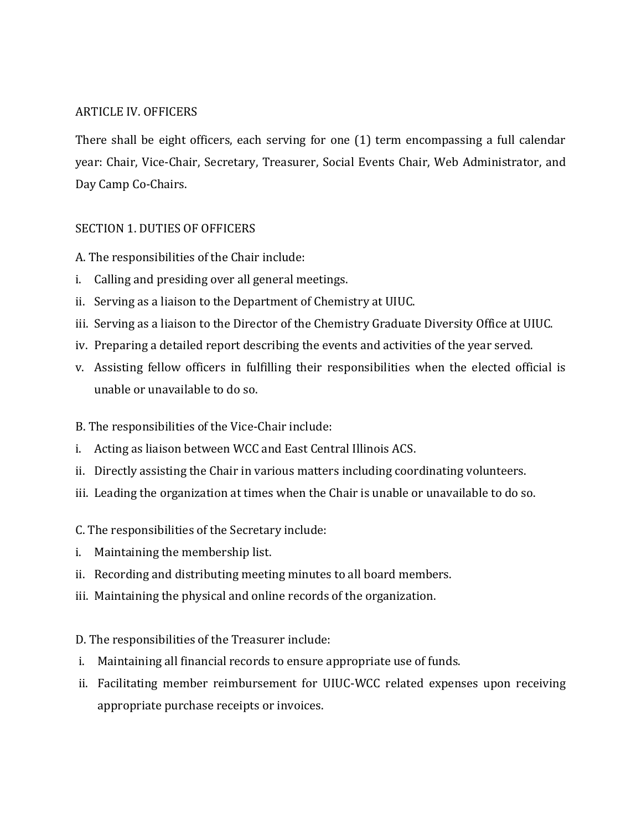# ARTICLE IV. OFFICERS

There shall be eight officers, each serving for one (1) term encompassing a full calendar year: Chair, Vice-Chair, Secretary, Treasurer, Social Events Chair, Web Administrator, and Day Camp Co-Chairs.

# SECTION 1. DUTIES OF OFFICERS

- A. The responsibilities of the Chair include:
- i. Calling and presiding over all general meetings.
- ii. Serving as a liaison to the Department of Chemistry at UIUC.
- iii. Serving as a liaison to the Director of the Chemistry Graduate Diversity Office at UIUC.
- iv. Preparing a detailed report describing the events and activities of the year served.
- v. Assisting fellow officers in fulfilling their responsibilities when the elected official is unable or unavailable to do so.

## B. The responsibilities of the Vice-Chair include:

- i. Acting as liaison between WCC and East Central Illinois ACS.
- ii. Directly assisting the Chair in various matters including coordinating volunteers.
- iii. Leading the organization at times when the Chair is unable or unavailable to do so.
- C. The responsibilities of the Secretary include:
- i. Maintaining the membership list.
- ii. Recording and distributing meeting minutes to all board members.
- iii. Maintaining the physical and online records of the organization.
- D. The responsibilities of the Treasurer include:
- i. Maintaining all financial records to ensure appropriate use of funds.
- ii. Facilitating member reimbursement for UIUC-WCC related expenses upon receiving appropriate purchase receipts or invoices.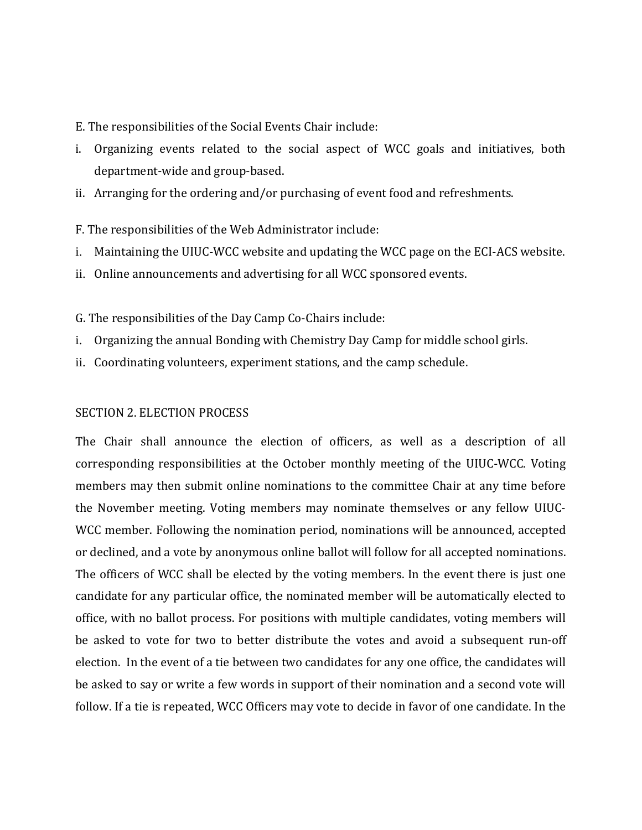- E. The responsibilities of the Social Events Chair include:
- i. Organizing events related to the social aspect of WCC goals and initiatives, both department-wide and group-based.
- ii. Arranging for the ordering and/or purchasing of event food and refreshments.

F. The responsibilities of the Web Administrator include:

- i. Maintaining the UIUC-WCC website and updating the WCC page on the ECI-ACS website.
- ii. Online announcements and advertising for all WCC sponsored events.
- G. The responsibilities of the Day Camp Co-Chairs include:
- i. Organizing the annual Bonding with Chemistry Day Camp for middle school girls.
- ii. Coordinating volunteers, experiment stations, and the camp schedule.

#### SECTION 2. ELECTION PROCESS

The Chair shall announce the election of officers, as well as a description of all corresponding responsibilities at the October monthly meeting of the UIUC-WCC. Voting members may then submit online nominations to the committee Chair at any time before the November meeting. Voting members may nominate themselves or any fellow UIUC-WCC member. Following the nomination period, nominations will be announced, accepted or declined, and a vote by anonymous online ballot will follow for all accepted nominations. The officers of WCC shall be elected by the voting members. In the event there is just one candidate for any particular office, the nominated member will be automatically elected to office, with no ballot process. For positions with multiple candidates, voting members will be asked to vote for two to better distribute the votes and avoid a subsequent run-off election. In the event of a tie between two candidates for any one office, the candidates will be asked to say or write a few words in support of their nomination and a second vote will follow. If a tie is repeated, WCC Officers may vote to decide in favor of one candidate. In the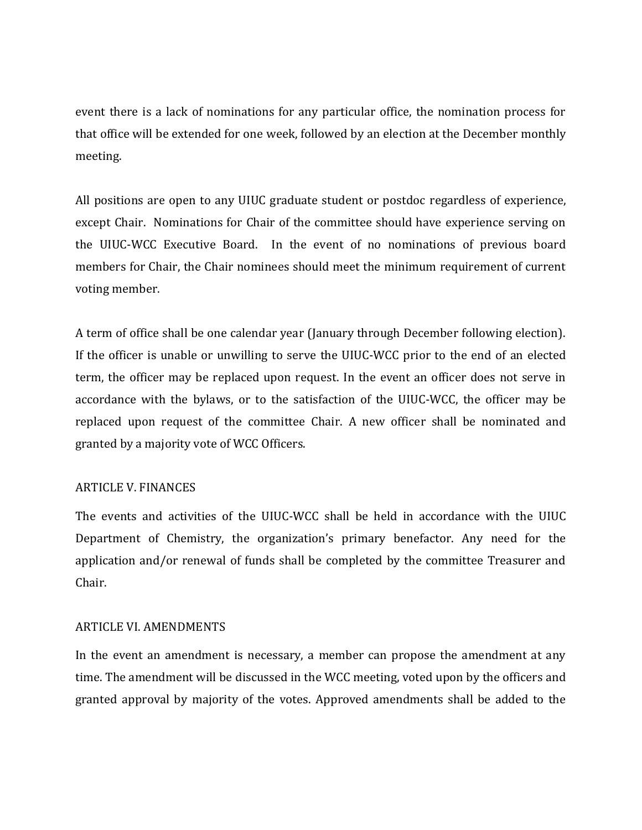event there is a lack of nominations for any particular office, the nomination process for that office will be extended for one week, followed by an election at the December monthly meeting.

All positions are open to any UIUC graduate student or postdoc regardless of experience, except Chair. Nominations for Chair of the committee should have experience serving on the UIUC-WCC Executive Board. In the event of no nominations of previous board members for Chair, the Chair nominees should meet the minimum requirement of current voting member.

A term of office shall be one calendar year (January through December following election). If the officer is unable or unwilling to serve the UIUC-WCC prior to the end of an elected term, the officer may be replaced upon request. In the event an officer does not serve in accordance with the bylaws, or to the satisfaction of the UIUC-WCC, the officer may be replaced upon request of the committee Chair. A new officer shall be nominated and granted by a majority vote of WCC Officers.

## ARTICLE V. FINANCES

The events and activities of the UIUC-WCC shall be held in accordance with the UIUC Department of Chemistry, the organization's primary benefactor. Any need for the application and/or renewal of funds shall be completed by the committee Treasurer and Chair.

### ARTICLE VI. AMENDMENTS

In the event an amendment is necessary, a member can propose the amendment at any time. The amendment will be discussed in the WCC meeting, voted upon by the officers and granted approval by majority of the votes. Approved amendments shall be added to the